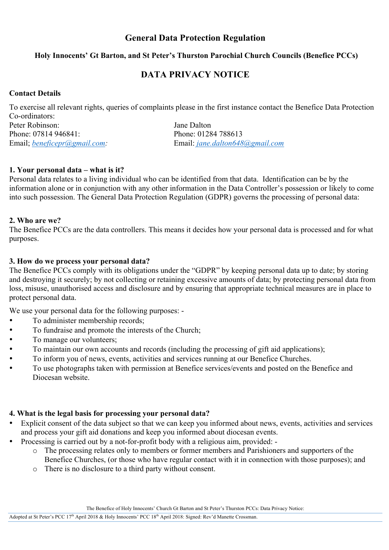## **General Data Protection Regulation**

## **Holy Innocents' Gt Barton, and St Peter's Thurston Parochial Church Councils (Benefice PCCs)**

## **DATA PRIVACY NOTICE**

## **Contact Details**

To exercise all relevant rights, queries of complaints please in the first instance contact the Benefice Data Protection Co-ordinators:

Peter Robinson: Jane Dalton Phone: 07814 946841: Phone: 01284 788613

Email; *beneficepr@gmail.com:* Email: *jane.dalton648@gmail.com*

### **1. Your personal data – what is it?**

Personal data relates to a living individual who can be identified from that data. Identification can be by the information alone or in conjunction with any other information in the Data Controller's possession or likely to come into such possession. The General Data Protection Regulation (GDPR) governs the processing of personal data:

### **2. Who are we?**

Ξ

The Benefice PCCs are the data controllers. This means it decides how your personal data is processed and for what purposes.

## **3. How do we process your personal data?**

The Benefice PCCs comply with its obligations under the "GDPR" by keeping personal data up to date; by storing and destroying it securely; by not collecting or retaining excessive amounts of data; by protecting personal data from loss, misuse, unauthorised access and disclosure and by ensuring that appropriate technical measures are in place to protect personal data.

We use your personal data for the following purposes: -

- To administer membership records;
- To fundraise and promote the interests of the Church:
- To manage our volunteers;
- To maintain our own accounts and records (including the processing of gift aid applications);
- To inform you of news, events, activities and services running at our Benefice Churches.
- To use photographs taken with permission at Benefice services/events and posted on the Benefice and Diocesan website.

## **4. What is the legal basis for processing your personal data?**

- Explicit consent of the data subject so that we can keep you informed about news, events, activities and services and process your gift aid donations and keep you informed about diocesan events.
- Processing is carried out by a not-for-profit body with a religious aim, provided:
	- o The processing relates only to members or former members and Parishioners and supporters of the Benefice Churches, (or those who have regular contact with it in connection with those purposes); and
	- o There is no disclosure to a third party without consent.

Adopted at St Peter's PCC 17<sup>th</sup> April 2018 & Holy Innocents' PCC 18<sup>th</sup> April 2018: Signed: Rev'd Manette Crossman.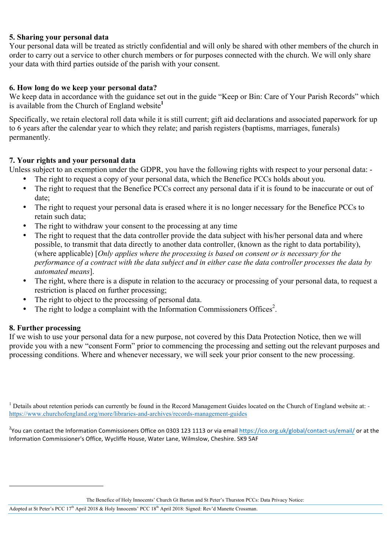#### **5. Sharing your personal data**

Your personal data will be treated as strictly confidential and will only be shared with other members of the church in order to carry out a service to other church members or for purposes connected with the church. We will only share your data with third parties outside of the parish with your consent.

#### **6. How long do we keep your personal data?**

We keep data in accordance with the guidance set out in the guide "Keep or Bin: Care of Your Parish Records" which is available from the Church of England website**<sup>1</sup>**

Specifically, we retain electoral roll data while it is still current; gift aid declarations and associated paperwork for up to 6 years after the calendar year to which they relate; and parish registers (baptisms, marriages, funerals) permanently.

#### **7. Your rights and your personal data**

Unless subject to an exemption under the GDPR, you have the following rights with respect to your personal data: -

- The right to request a copy of your personal data, which the Benefice PCCs holds about you.
- The right to request that the Benefice PCCs correct any personal data if it is found to be inaccurate or out of date;
- The right to request your personal data is erased where it is no longer necessary for the Benefice PCCs to retain such data;
- The right to withdraw your consent to the processing at any time
- The right to request that the data controller provide the data subject with his/her personal data and where possible, to transmit that data directly to another data controller, (known as the right to data portability), (where applicable) [*Only applies where the processing is based on consent or is necessary for the performance of a contract with the data subject and in either case the data controller processes the data by automated means*].
- The right, where there is a dispute in relation to the accuracy or processing of your personal data, to request a restriction is placed on further processing;
- The right to object to the processing of personal data.
- The right to lodge a complaint with the Information Commissioners Offices<sup>2</sup>.

### **8. Further processing**

 $\overline{a}$ 

If we wish to use your personal data for a new purpose, not covered by this Data Protection Notice, then we will provide you with a new "consent Form" prior to commencing the processing and setting out the relevant purposes and processing conditions. Where and whenever necessary, we will seek your prior consent to the new processing.

 $1$  Details about retention periods can currently be found in the Record Management Guides located on the Church of England website at:  $$ https://www.churchofengland.org/more/libraries-and-archives/records-management-guides

<sup>2</sup>You can contact the Information Commissioners Office on 0303 123 1113 or via email https://ico.org.uk/global/contact-us/email/ or at the Information Commissioner's Office, Wycliffe House, Water Lane, Wilmslow, Cheshire. SK9 5AF

The Benefice of Holy Innocents' Church Gt Barton and St Peter's Thurston PCCs: Data Privacy Notice:

Adopted at St Peter's PCC 17<sup>th</sup> April 2018 & Holy Innocents' PCC 18<sup>th</sup> April 2018: Signed: Rev'd Manette Crossman.